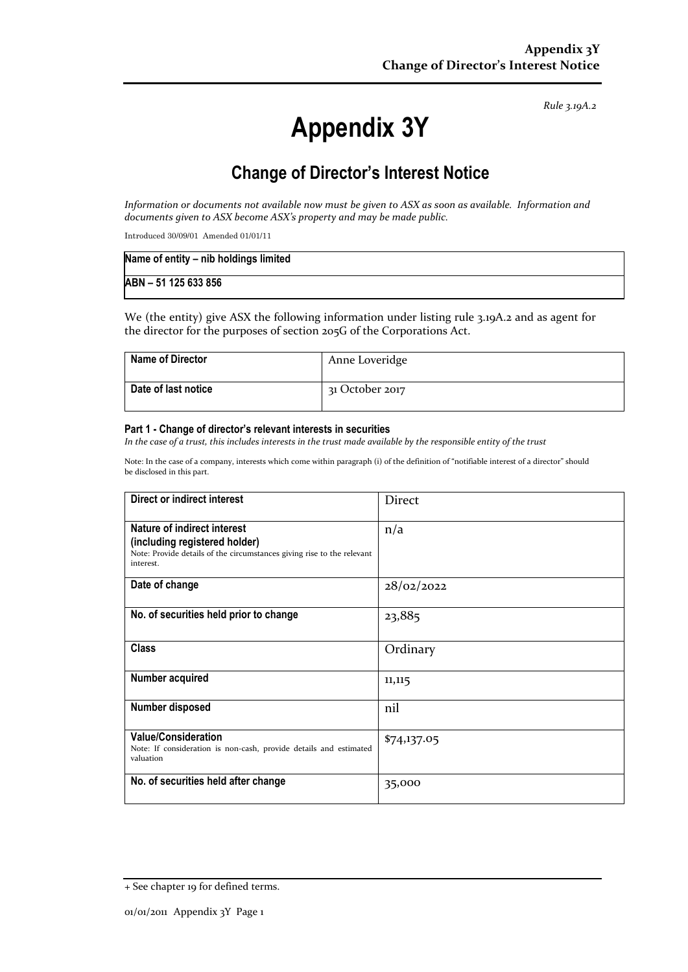*Rule 3.19A.2*

# **Appendix 3Y**

## **Change of Director's Interest Notice**

*Information or documents not available now must be given to ASX as soon as available. Information and documents given to ASX become ASX's property and may be made public.*

Introduced 30/09/01 Amended 01/01/11

| Name of entity - nib holdings limited |  |
|---------------------------------------|--|
| ABN - 51 125 633 856                  |  |

We (the entity) give ASX the following information under listing rule 3.19A.2 and as agent for the director for the purposes of section 205G of the Corporations Act.

| <b>Name of Director</b> | Anne Loveridge  |
|-------------------------|-----------------|
| Date of last notice     | 31 October 2017 |

#### **Part 1 - Change of director's relevant interests in securities**

*In the case of a trust, this includes interests in the trust made available by the responsible entity of the trust*

Note: In the case of a company, interests which come within paragraph (i) of the definition of "notifiable interest of a director" should be disclosed in this part.

| Direct or indirect interest                                                                                                                         | <b>Direct</b> |
|-----------------------------------------------------------------------------------------------------------------------------------------------------|---------------|
| Nature of indirect interest<br>(including registered holder)<br>Note: Provide details of the circumstances giving rise to the relevant<br>interest. | n/a           |
| Date of change                                                                                                                                      | 28/02/2022    |
| No. of securities held prior to change                                                                                                              | 23,885        |
| <b>Class</b>                                                                                                                                        | Ordinary      |
| Number acquired                                                                                                                                     | 11,115        |
| Number disposed                                                                                                                                     | nil           |
| <b>Value/Consideration</b><br>Note: If consideration is non-cash, provide details and estimated<br>valuation                                        | \$74,137.05   |
| No. of securities held after change                                                                                                                 | 35,000        |

<sup>+</sup> See chapter 19 for defined terms.